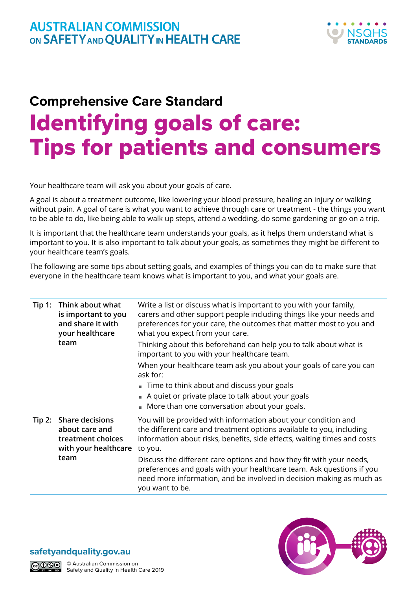## **Comprehensive Care Standard** Identifying goals of care: Tips for patients and consumers

Your healthcare team will ask you about your goals of care.

A goal is about a treatment outcome, like lowering your blood pressure, healing an injury or walking without pain. A goal of care is what you want to achieve through care or treatment - the things you want to be able to do, like being able to walk up steps, attend a wedding, do some gardening or go on a trip.

It is important that the healthcare team understands your goals, as it helps them understand what is important to you. It is also important to talk about your goals, as sometimes they might be different to your healthcare team's goals.

The following are some tips about setting goals, and examples of things you can do to make sure that everyone in the healthcare team knows what is important to you, and what your goals are.

| Tip 1: | Think about what<br>is important to you<br>and share it with<br>your healthcare<br>team       | Write a list or discuss what is important to you with your family,<br>carers and other support people including things like your needs and<br>preferences for your care, the outcomes that matter most to you and<br>what you expect from your care. |
|--------|-----------------------------------------------------------------------------------------------|------------------------------------------------------------------------------------------------------------------------------------------------------------------------------------------------------------------------------------------------------|
|        |                                                                                               | Thinking about this beforehand can help you to talk about what is<br>important to you with your healthcare team.                                                                                                                                     |
|        |                                                                                               | When your healthcare team ask you about your goals of care you can<br>ask for:                                                                                                                                                                       |
|        |                                                                                               | Time to think about and discuss your goals                                                                                                                                                                                                           |
|        |                                                                                               | A quiet or private place to talk about your goals                                                                                                                                                                                                    |
|        |                                                                                               | • More than one conversation about your goals.                                                                                                                                                                                                       |
| Tip 2: | <b>Share decisions</b><br>about care and<br>treatment choices<br>with your healthcare<br>team | You will be provided with information about your condition and<br>the different care and treatment options available to you, including<br>information about risks, benefits, side effects, waiting times and costs<br>to you.                        |
|        |                                                                                               | Discuss the different care options and how they fit with your needs,<br>preferences and goals with your healthcare team. Ask questions if you<br>need more information, and be involved in decision making as much as<br>you want to be.             |





© Australian Commission on Safety and Quality in Health Care 2019